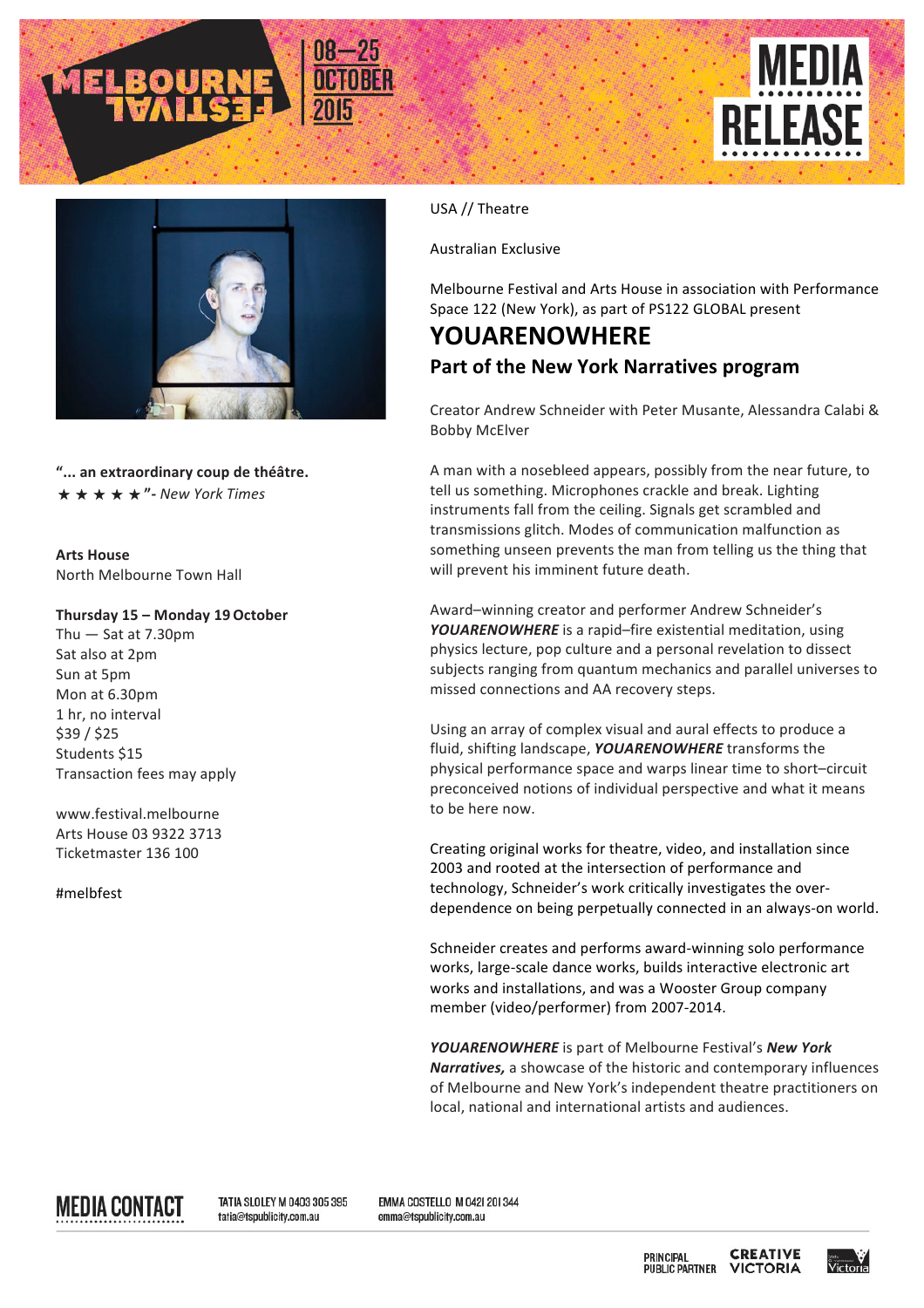





"... an extraordinary coup de théâtre. ★★★★★**"-** *New York Times*

**Arts House** North Melbourne Town Hall

## **Thursday 15 – Monday 19October**

Thu  $-$  Sat at 7.30pm Sat also at 2pm Sun at 5pm Mon at 6.30pm 1 hr, no interval \$39 / \$25 Students \$15 Transaction fees may apply

www.festival.melbourne Arts House 03 9322 3713 Ticketmaster 136 100

#melbfest

USA // Theatre

Australian Exclusive

Melbourne Festival and Arts House in association with Performance Space 122 (New York), as part of PS122 GLOBAL present

## **YOUARENOWHERE Part of the New York Narratives program**

Creator Andrew Schneider with Peter Musante, Alessandra Calabi & Bobby McElver

A man with a nosebleed appears, possibly from the near future, to tell us something. Microphones crackle and break. Lighting instruments fall from the ceiling. Signals get scrambled and transmissions glitch. Modes of communication malfunction as something unseen prevents the man from telling us the thing that will prevent his imminent future death.

Award-winning creator and performer Andrew Schneider's YOUARENOWHERE is a rapid–fire existential meditation, using physics lecture, pop culture and a personal revelation to dissect subjects ranging from quantum mechanics and parallel universes to missed connections and AA recovery steps.

Using an array of complex visual and aural effects to produce a fluid, shifting landscape, **YOUARENOWHERE** transforms the physical performance space and warps linear time to short-circuit preconceived notions of individual perspective and what it means to be here now.

Creating original works for theatre, video, and installation since 2003 and rooted at the intersection of performance and technology, Schneider's work critically investigates the overdependence on being perpetually connected in an always-on world.

Schneider creates and performs award-winning solo performance works, large-scale dance works, builds interactive electronic art works and installations, and was a Wooster Group company member (video/performer) from 2007-2014.

**YOUARENOWHERE** is part of Melbourne Festival's **New York** *Narratives*, a showcase of the historic and contemporary influences of Melbourne and New York's independent theatre practitioners on local, national and international artists and audiences.

MEDIA CONTACT

TATIA SLOLEY M 0403 305 395 tatia@tspublicity.com.au

EMMA COSTELLO M 042| 20| 344 emma@tspublicity.com.au